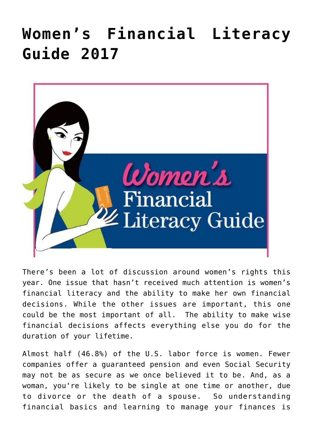## **[Women's Financial Literacy](https://www.commpro.biz/womens-financial-literacy-guide-2017/) [Guide 2017](https://www.commpro.biz/womens-financial-literacy-guide-2017/)**



There's been a lot of discussion around women's rights this year. One issue that hasn't received much attention is women's financial literacy and the ability to make her own financial decisions. While the other issues are important, this one could be the most important of all. The ability to make wise financial decisions affects everything else you do for the duration of your lifetime.

Almost half (46.8%) of the U.S. labor force is women. Fewer companies offer a guaranteed pension and even Social Security may not be as secure as we once believed it to be. And, as a woman, you're likely to be single at one time or another, due to divorce or the death of a spouse. So understanding financial basics and learning to manage your finances is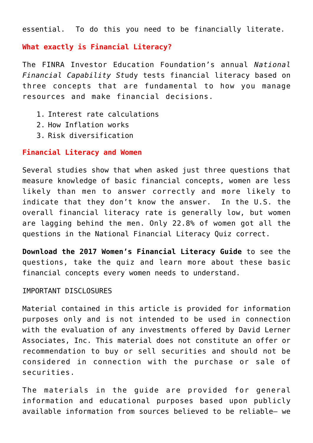essential. To do this you need to be financially literate.

## **What exactly is Financial Literacy?**

The FINRA Investor Education Foundation's annual *National Financial Capability St*udy tests financial literacy based on three concepts that are fundamental to how you manage resources and make financial decisions.

- 1. Interest rate calculations
- 2. How Inflation works
- 3. Risk diversification

## **Financial Literacy and Women**

Several studies show that when asked just three questions that measure knowledge of basic financial concepts, women are less likely than men to answer correctly and more likely to indicate that they don't know the answer. In the U.S. the overall financial literacy rate is generally low, but women are lagging behind the men. Only 22.8% of women got all the questions in the National Financial Literacy Quiz correct.

**Download the [2017 Women's Financial Literacy Guide](https://www.davidlerner.com/womensfinances)** to see the questions, take the quiz and learn more about these basic financial concepts every women needs to understand.

## IMPORTANT DISCLOSURES

Material contained in this article is provided for information purposes only and is not intended to be used in connection with the evaluation of any investments offered by David Lerner Associates, Inc. This material does not constitute an offer or recommendation to buy or sell securities and should not be considered in connection with the purchase or sale of securities.

The materials in the guide are provided for general information and educational purposes based upon publicly available information from sources believed to be reliable– we